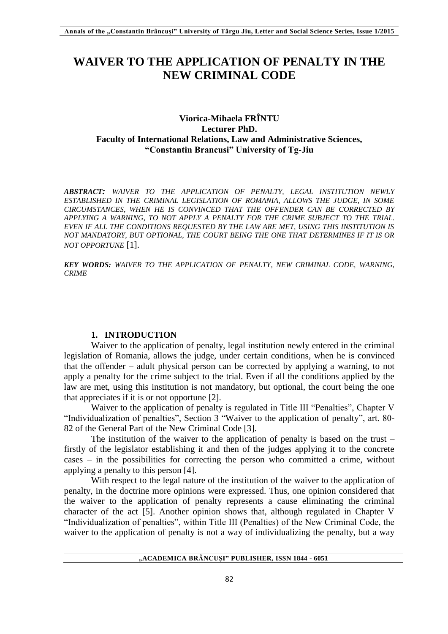# **WAIVER TO THE APPLICATION OF PENALTY IN THE NEW CRIMINAL CODE**

# **Viorica-Mihaela FRÎNTU Lecturer PhD. Faculty of International Relations, Law and Administrative Sciences, "Constantin Brancusi" University of Tg-Jiu**

*ABSTRACT: WAIVER TO THE APPLICATION OF PENALTY, LEGAL INSTITUTION NEWLY ESTABLISHED IN THE CRIMINAL LEGISLATION OF ROMANIA, ALLOWS THE JUDGE, IN SOME CIRCUMSTANCES, WHEN HE IS CONVINCED THAT THE OFFENDER CAN BE CORRECTED BY APPLYING A WARNING, TO NOT APPLY A PENALTY FOR THE CRIME SUBJECT TO THE TRIAL. EVEN IF ALL THE CONDITIONS REQUESTED BY THE LAW ARE MET, USING THIS INSTITUTION IS NOT MANDATORY, BUT OPTIONAL, THE COURT BEING THE ONE THAT DETERMINES IF IT IS OR NOT OPPORTUNE* [1].

*KEY WORDS: WAIVER TO THE APPLICATION OF PENALTY, NEW CRIMINAL CODE, WARNING, CRIME* 

# **1. INTRODUCTION**

Waiver to the application of penalty, legal institution newly entered in the criminal legislation of Romania, allows the judge, under certain conditions, when he is convinced that the offender – adult physical person can be corrected by applying a warning, to not apply a penalty for the crime subject to the trial. Even if all the conditions applied by the law are met, using this institution is not mandatory, but optional, the court being the one that appreciates if it is or not opportune [2].

Waiver to the application of penalty is regulated in Title III "Penalties", Chapter V "Individualization of penalties", Section 3 "Waiver to the application of penalty", art. 80- 82 of the General Part of the New Criminal Code [3].

The institution of the waiver to the application of penalty is based on the trust – firstly of the legislator establishing it and then of the judges applying it to the concrete cases – in the possibilities for correcting the person who committed a crime, without applying a penalty to this person [4].

With respect to the legal nature of the institution of the waiver to the application of penalty, in the doctrine more opinions were expressed. Thus, one opinion considered that the waiver to the application of penalty represents a cause eliminating the criminal character of the act [5]. Another opinion shows that, although regulated in Chapter V "Individualization of penalties", within Title III (Penalties) of the New Criminal Code, the waiver to the application of penalty is not a way of individualizing the penalty, but a way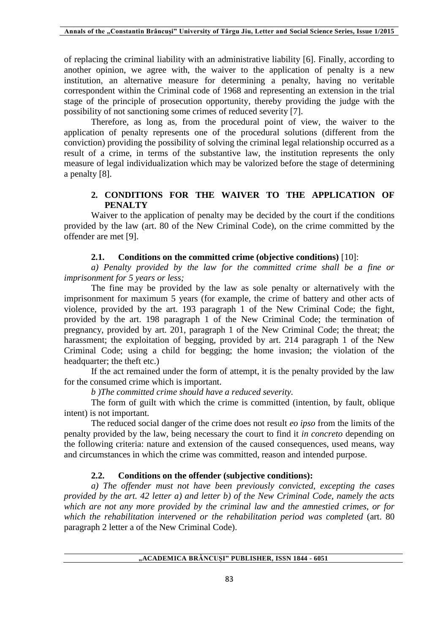of replacing the criminal liability with an administrative liability [6]. Finally, according to another opinion, we agree with, the waiver to the application of penalty is a new institution, an alternative measure for determining a penalty, having no veritable correspondent within the Criminal code of 1968 and representing an extension in the trial stage of the principle of prosecution opportunity, thereby providing the judge with the possibility of not sanctioning some crimes of reduced severity [7].

Therefore, as long as, from the procedural point of view, the waiver to the application of penalty represents one of the procedural solutions (different from the conviction) providing the possibility of solving the criminal legal relationship occurred as a result of a crime, in terms of the substantive law, the institution represents the only measure of legal individualization which may be valorized before the stage of determining a penalty [8].

# **2. CONDITIONS FOR THE WAIVER TO THE APPLICATION OF PENALTY**

Waiver to the application of penalty may be decided by the court if the conditions provided by the law (art. 80 of the New Criminal Code), on the crime committed by the offender are met [9].

### **2.1. Conditions on the committed crime (objective conditions)** [10]:

*a) Penalty provided by the law for the committed crime shall be a fine or imprisonment for 5 years or less;*

The fine may be provided by the law as sole penalty or alternatively with the imprisonment for maximum 5 years (for example, the crime of battery and other acts of violence, provided by the art. 193 paragraph 1 of the New Criminal Code; the fight, provided by the art. 198 paragraph 1 of the New Criminal Code; the termination of pregnancy, provided by art. 201, paragraph 1 of the New Criminal Code; the threat; the harassment; the exploitation of begging, provided by art. 214 paragraph 1 of the New Criminal Code; using a child for begging; the home invasion; the violation of the headquarter; the theft etc.)

If the act remained under the form of attempt, it is the penalty provided by the law for the consumed crime which is important.

### *b )The committed crime should have a reduced severity.*

The form of guilt with which the crime is committed (intention, by fault, oblique intent) is not important.

The reduced social danger of the crime does not result *eo ipso* from the limits of the penalty provided by the law, being necessary the court to find it *in concreto* depending on the following criteria: nature and extension of the caused consequences, used means, way and circumstances in which the crime was committed, reason and intended purpose.

## **2.2. Conditions on the offender (subjective conditions):**

*a) The offender must not have been previously convicted, excepting the cases provided by the art. 42 letter a) and letter b) of the New Criminal Code, namely the acts which are not any more provided by the criminal law and the amnestied crimes, or for which the rehabilitation intervened or the rehabilitation period was completed* (art. 80 paragraph 2 letter a of the New Criminal Code).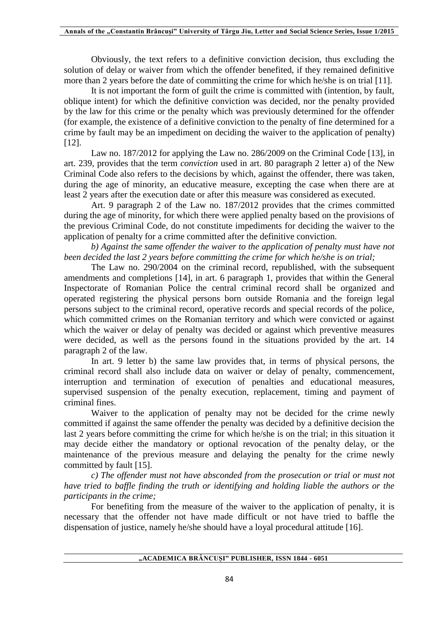Obviously, the text refers to a definitive conviction decision, thus excluding the solution of delay or waiver from which the offender benefited, if they remained definitive more than 2 years before the date of committing the crime for which he/she is on trial [11].

It is not important the form of guilt the crime is committed with (intention, by fault, oblique intent) for which the definitive conviction was decided, nor the penalty provided by the law for this crime or the penalty which was previously determined for the offender (for example, the existence of a definitive conviction to the penalty of fine determined for a crime by fault may be an impediment on deciding the waiver to the application of penalty) [12].

Law no. 187/2012 for applying the Law no. 286/2009 on the Criminal Code [13], in art. 239, provides that the term *conviction* used in art. 80 paragraph 2 letter a) of the New Criminal Code also refers to the decisions by which, against the offender, there was taken, during the age of minority, an educative measure, excepting the case when there are at least 2 years after the execution date or after this measure was considered as executed.

Art. 9 paragraph 2 of the Law no. 187/2012 provides that the crimes committed during the age of minority, for which there were applied penalty based on the provisions of the previous Criminal Code, do not constitute impediments for deciding the waiver to the application of penalty for a crime committed after the definitive conviction.

*b) Against the same offender the waiver to the application of penalty must have not been decided the last 2 years before committing the crime for which he/she is on trial;* 

The Law no. 290/2004 on the criminal record, republished, with the subsequent amendments and completions [14], in art. 6 paragraph 1, provides that within the General Inspectorate of Romanian Police the central criminal record shall be organized and operated registering the physical persons born outside Romania and the foreign legal persons subject to the criminal record, operative records and special records of the police, which committed crimes on the Romanian territory and which were convicted or against which the waiver or delay of penalty was decided or against which preventive measures were decided, as well as the persons found in the situations provided by the art. 14 paragraph 2 of the law.

In art. 9 letter b) the same law provides that, in terms of physical persons, the criminal record shall also include data on waiver or delay of penalty, commencement, interruption and termination of execution of penalties and educational measures, supervised suspension of the penalty execution, replacement, timing and payment of criminal fines.

Waiver to the application of penalty may not be decided for the crime newly committed if against the same offender the penalty was decided by a definitive decision the last 2 years before committing the crime for which he/she is on the trial; in this situation it may decide either the mandatory or optional revocation of the penalty delay, or the maintenance of the previous measure and delaying the penalty for the crime newly committed by fault [15].

*c) The offender must not have absconded from the prosecution or trial or must not have tried to baffle finding the truth or identifying and holding liable the authors or the participants in the crime;* 

For benefiting from the measure of the waiver to the application of penalty, it is necessary that the offender not have made difficult or not have tried to baffle the dispensation of justice, namely he/she should have a loyal procedural attitude [16].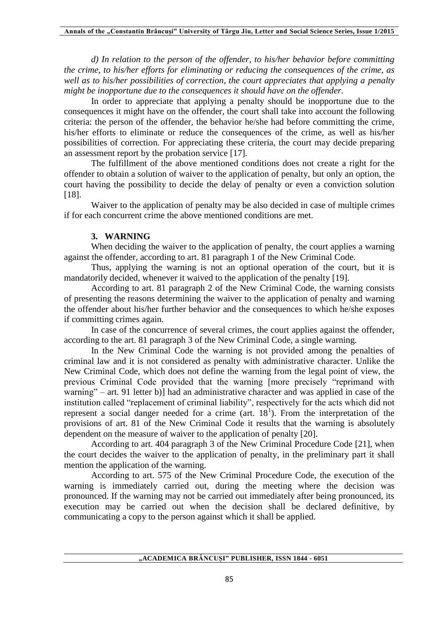*d) In relation to the person of the offender, to his/her behavior before committing the crime, to his/her efforts for eliminating or reducing the consequences of the crime, as well as to his/her possibilities of correction, the court appreciates that applying a penalty might be inopportune due to the consequences it should have on the offender.* 

In order to appreciate that applying a penalty should be inopportune due to the consequences it might have on the offender, the court shall take into account the following criteria: the person of the offender, the behavior he/she had before committing the crime, his/her efforts to eliminate or reduce the consequences of the crime, as well as his/her possibilities of correction. For appreciating these criteria, the court may decide preparing an assessment report by the probation service [17].

The fulfillment of the above mentioned conditions does not create a right for the offender to obtain a solution of waiver to the application of penalty, but only an option, the court having the possibility to decide the delay of penalty or even a conviction solution [18].

Waiver to the application of penalty may be also decided in case of multiple crimes if for each concurrent crime the above mentioned conditions are met.

## **3. WARNING**

When deciding the waiver to the application of penalty, the court applies a warning against the offender, according to art. 81 paragraph 1 of the New Criminal Code.

Thus, applying the warning is not an optional operation of the court, but it is mandatorily decided, whenever it waived to the application of the penalty [19].

According to art. 81 paragraph 2 of the New Criminal Code, the warning consists of presenting the reasons determining the waiver to the application of penalty and warning the offender about his/her further behavior and the consequences to which he/she exposes if committing crimes again.

In case of the concurrence of several crimes, the court applies against the offender, according to the art. 81 paragraph 3 of the New Criminal Code, a single warning.

In the New Criminal Code the warning is not provided among the penalties of criminal law and it is not considered as penalty with administrative character. Unlike the New Criminal Code, which does not define the warning from the legal point of view, the previous Criminal Code provided that the warning [more precisely "reprimand with warning" – art. 91 letter b)] had an administrative character and was applied in case of the institution called "replacement of criminal liability", respectively for the acts which did not represent a social danger needed for a crime (art.  $18<sup>1</sup>$ ). From the interpretation of the provisions of art. 81 of the New Criminal Code it results that the warning is absolutely dependent on the measure of waiver to the application of penalty [20].

According to art. 404 paragraph 3 of the New Criminal Procedure Code [21], when the court decides the waiver to the application of penalty, in the preliminary part it shall mention the application of the warning.

According to art. 575 of the New Criminal Procedure Code, the execution of the warning is immediately carried out, during the meeting where the decision was pronounced. If the warning may not be carried out immediately after being pronounced, its execution may be carried out when the decision shall be declared definitive, by communicating a copy to the person against which it shall be applied.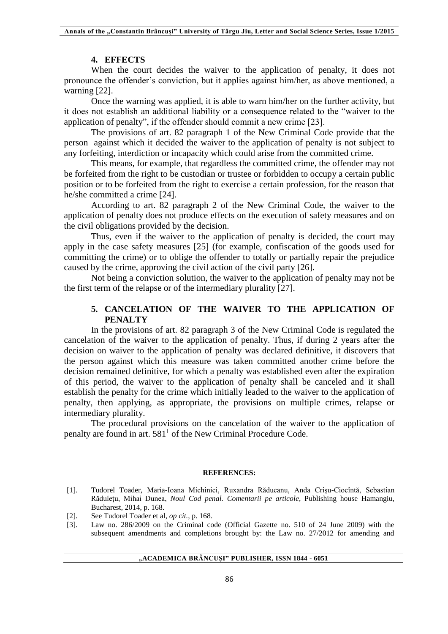#### **4. EFFECTS**

When the court decides the waiver to the application of penalty, it does not pronounce the offender's conviction, but it applies against him/her, as above mentioned, a warning [22].

Once the warning was applied, it is able to warn him/her on the further activity, but it does not establish an additional liability or a consequence related to the "waiver to the application of penalty", if the offender should commit a new crime [23].

The provisions of art. 82 paragraph 1 of the New Criminal Code provide that the person against which it decided the waiver to the application of penalty is not subject to any forfeiting, interdiction or incapacity which could arise from the committed crime.

This means, for example, that regardless the committed crime, the offender may not be forfeited from the right to be custodian or trustee or forbidden to occupy a certain public position or to be forfeited from the right to exercise a certain profession, for the reason that he/she committed a crime [24].

According to art. 82 paragraph 2 of the New Criminal Code, the waiver to the application of penalty does not produce effects on the execution of safety measures and on the civil obligations provided by the decision.

Thus, even if the waiver to the application of penalty is decided, the court may apply in the case safety measures [25] (for example, confiscation of the goods used for committing the crime) or to oblige the offender to totally or partially repair the prejudice caused by the crime, approving the civil action of the civil party [26].

Not being a conviction solution, the waiver to the application of penalty may not be the first term of the relapse or of the intermediary plurality [27].

## **5. CANCELATION OF THE WAIVER TO THE APPLICATION OF PENALTY**

In the provisions of art. 82 paragraph 3 of the New Criminal Code is regulated the cancelation of the waiver to the application of penalty. Thus, if during 2 years after the decision on waiver to the application of penalty was declared definitive, it discovers that the person against which this measure was taken committed another crime before the decision remained definitive, for which a penalty was established even after the expiration of this period, the waiver to the application of penalty shall be canceled and it shall establish the penalty for the crime which initially leaded to the waiver to the application of penalty, then applying, as appropriate, the provisions on multiple crimes, relapse or intermediary plurality.

The procedural provisions on the cancelation of the waiver to the application of penalty are found in art.  $581<sup>1</sup>$  of the New Criminal Procedure Code.

#### **REFERENCES:**

- [1]. Tudorel Toader, Maria-Ioana Michinici, Ruxandra Răducanu, Anda Crişu-Ciocîntă, Sebastian Răduleţu, Mihai Dunea, *Noul Cod penal. Comentarii pe articole*, Publishing house Hamangiu, Bucharest, 2014, p. 168.
- [2]. See Tudorel Toader et al, *op cit.,* p. 168.
- [3]. Law no. 286/2009 on the Criminal code (Official Gazette no. 510 of 24 June 2009) with the subsequent amendments and completions brought by: the Law no. 27/2012 for amending and

### **"ACADEMICA BRÂNCUȘI" PUBLISHER, ISSN 1844 - 6051**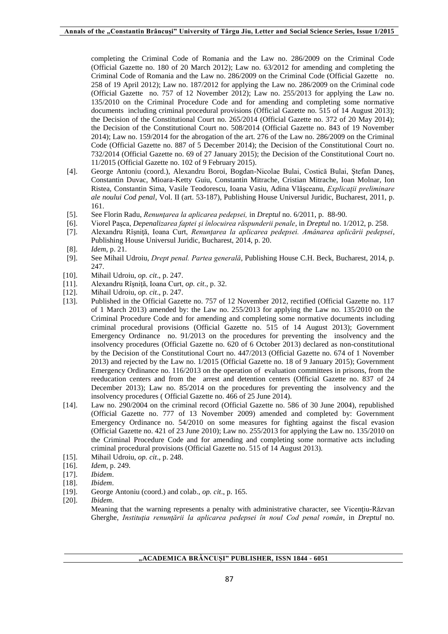completing the Criminal Code of Romania and the Law no. 286/2009 on the Criminal Code (Official Gazette no. 180 of 20 March 2012); Law no. 63/2012 for amending and completing the Criminal Code of Romania and the Law no. 286/2009 on the Criminal Code (Official Gazette no. 258 of 19 April 2012); Law no. 187/2012 for applying the Law no. 286/2009 on the Criminal code (Official Gazette no. 757 of 12 November 2012); Law no. 255/2013 for applying the Law no. 135/2010 on the Criminal Procedure Code and for amending and completing some normative documents including criminal procedural provisions (Official Gazette no. 515 of 14 August 2013); the Decision of the Constitutional Court no. 265/2014 (Official Gazette no. 372 of 20 May 2014); the Decision of the Constitutional Court no. 508/2014 (Official Gazette no. 843 of 19 November 2014); Law no. 159/2014 for the abrogation of the art. 276 of the Law no. 286/2009 on the Criminal Code (Official Gazette no. 887 of 5 December 2014); the Decision of the Constitutional Court no. 732/2014 (Official Gazette no. 69 of 27 January 2015); the Decision of the Constitutional Court no. 11/2015 (Official Gazette no. 102 of 9 February 2015).

- [4]. George Antoniu (coord.), Alexandru Boroi, Bogdan-Nicolae Bulai, Costică Bulai, Ştefan Daneş, Constantin Duvac, Mioara-Ketty Guiu, Constantin Mitrache, Cristian Mitrache, Ioan Molnar, Ion Ristea, Constantin Sima, Vasile Teodorescu, Ioana Vasiu, Adina Vlăşceanu, *Explicaţii preliminare ale noului Cod penal*, Vol. II (art. 53-187), Publishing House Universul Juridic, Bucharest, 2011, p. 161.
- [5]. See Florin Radu, *Renunţarea la aplicarea pedepsei,* in *Dreptul* no. 6/2011, p. 88-90.
- [6]. Viorel Paşca, *Depenalizarea faptei şi înlocuirea răspunderii penale*, in *Dreptul* no. 1/2012, p. 258.
- [7]. Alexandru Rîşniţă, Ioana Curt, *Renunţarea la aplicarea pedepsei. Amânarea aplicării pedepsei*, Publishing House Universul Juridic, Bucharest, 2014, p. 20.
- [8]. *Idem*, p. 21.
- [9]. See Mihail Udroiu, *Drept penal. Partea generală*, Publishing House C.H. Beck, Bucharest, 2014, p. 247.
- [10]. Mihail Udroiu, *op. cit*., p. 247.
- [11]. Alexandru Rîşniţă, Ioana Curt, *op. cit*., p. 32.
- [12]. Mihail Udroiu, *op. cit*., p. 247.
- [13]. Published in the Official Gazette no. 757 of 12 November 2012, rectified (Official Gazette no. 117 of 1 March 2013) amended by: the Law no. 255/2013 for applying the Law no. 135/2010 on the Criminal Procedure Code and for amending and completing some normative documents including criminal procedural provisions (Official Gazette no. 515 of 14 August 2013); Government Emergency Ordinance no. 91/2013 on the procedures for preventing the insolvency and the insolvency procedures (Official Gazette no. 620 of 6 October 2013) declared as non-constitutional by the Decision of the Constitutional Court no. 447/2013 (Official Gazette no. 674 of 1 November 2013) and rejected by the Law no. 1/2015 (Official Gazette no. 18 of 9 January 2015); Government Emergency Ordinance no. 116/2013 on the operation of evaluation committees in prisons, from the reeducation centers and from the arrest and detention centers (Official Gazette no. 837 of 24 December 2013); Law no. 85/2014 on the procedures for preventing the insolvency and the insolvency procedures ( Official Gazette no. 466 of 25 June 2014).
- [14]. Law no. 290/2004 on the criminal record (Official Gazette no. 586 of 30 June 2004), republished (Official Gazette no. 777 of 13 November 2009) amended and completed by: Government Emergency Ordinance no. 54/2010 on some measures for fighting against the fiscal evasion (Official Gazette no. 421 of 23 June 2010); Law no. 255/2013 for applying the Law no. 135/2010 on the Criminal Procedure Code and for amending and completing some normative acts including criminal procedural provisions (Official Gazette no. 515 of 14 August 2013).
- [15]. Mihail Udroiu, *op. cit*., p. 248.
- [16]. *Idem*, p. 249.
- [17]. *Ibidem*.
- [18]. *Ibidem*.
- [19]. George Antoniu (coord.) and colab., *op. cit*., p. 165.
- [20]. *Ibidem*.

Meaning that the warning represents a penalty with administrative character, see Vicentiu-Răzvan Gherghe, *Instituţia renunţării la aplicarea pedepsei în noul Cod penal român*, in *Dreptul* no.

#### **"ACADEMICA BRÂNCUȘI" PUBLISHER, ISSN 1844 - 6051**